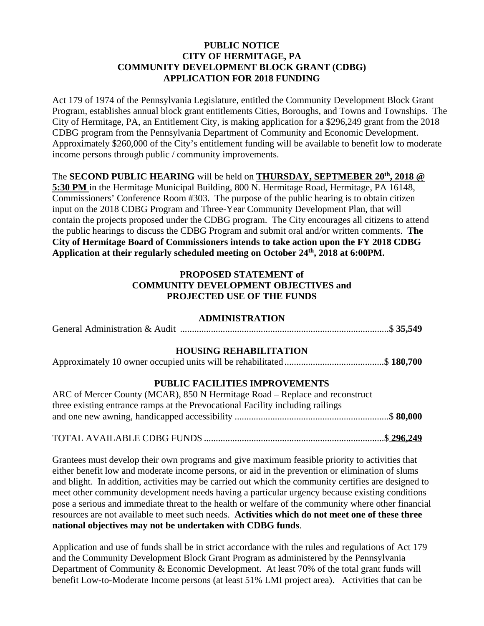### **PUBLIC NOTICE CITY OF HERMITAGE, PA COMMUNITY DEVELOPMENT BLOCK GRANT (CDBG) APPLICATION FOR 2018 FUNDING**

Act 179 of 1974 of the Pennsylvania Legislature, entitled the Community Development Block Grant Program, establishes annual block grant entitlements Cities, Boroughs, and Towns and Townships. The City of Hermitage, PA, an Entitlement City, is making application for a \$296,249 grant from the 2018 CDBG program from the Pennsylvania Department of Community and Economic Development. Approximately \$260,000 of the City's entitlement funding will be available to benefit low to moderate income persons through public / community improvements.

The **SECOND PUBLIC HEARING** will be held on **THURSDAY, SEPTMEBER 20th, 2018 @** 

**5:30 PM** in the Hermitage Municipal Building, 800 N. Hermitage Road, Hermitage, PA 16148, Commissioners' Conference Room #303. The purpose of the public hearing is to obtain citizen input on the 2018 CDBG Program and Three-Year Community Development Plan, that will contain the projects proposed under the CDBG program. The City encourages all citizens to attend the public hearings to discuss the CDBG Program and submit oral and/or written comments. **The City of Hermitage Board of Commissioners intends to take action upon the FY 2018 CDBG Application at their regularly scheduled meeting on October 24th, 2018 at 6:00PM.** 

## **PROPOSED STATEMENT of COMMUNITY DEVELOPMENT OBJECTIVES and PROJECTED USE OF THE FUNDS**

#### **ADMINISTRATION**

|--|--|

## **HOUSING REHABILITATION**

|--|--|--|--|--|--|

#### **PUBLIC FACILITIES IMPROVEMENTS**

| ARC of Mercer County (MCAR), 850 N Hermitage Road – Replace and reconstruct    |  |
|--------------------------------------------------------------------------------|--|
| three existing entrance ramps at the Prevocational Facility including railings |  |
|                                                                                |  |
|                                                                                |  |

# TOTAL AVAILABLE CDBG FUNDS ............................................................................ \$ **296,249**

Grantees must develop their own programs and give maximum feasible priority to activities that either benefit low and moderate income persons, or aid in the prevention or elimination of slums and blight. In addition, activities may be carried out which the community certifies are designed to meet other community development needs having a particular urgency because existing conditions pose a serious and immediate threat to the health or welfare of the community where other financial resources are not available to meet such needs. **Activities which do not meet one of these three national objectives may not be undertaken with CDBG funds**.

Application and use of funds shall be in strict accordance with the rules and regulations of Act 179 and the Community Development Block Grant Program as administered by the Pennsylvania Department of Community & Economic Development. At least 70% of the total grant funds will benefit Low-to-Moderate Income persons (at least 51% LMI project area). Activities that can be